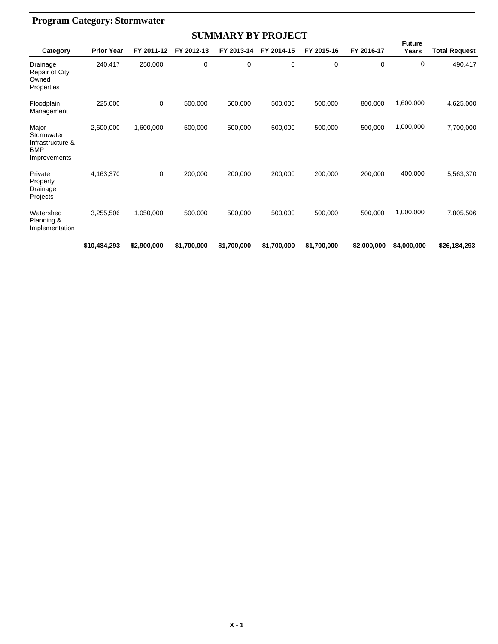| <b>SUMMARY BY PROJECT</b>                                             |                   |             |             |             |             |             |             |                        |                      |  |  |
|-----------------------------------------------------------------------|-------------------|-------------|-------------|-------------|-------------|-------------|-------------|------------------------|----------------------|--|--|
| Category                                                              | <b>Prior Year</b> | FY 2011-12  | FY 2012-13  | FY 2013-14  | FY 2014-15  | FY 2015-16  | FY 2016-17  | <b>Future</b><br>Years | <b>Total Request</b> |  |  |
| Drainage<br><b>Repair of City</b><br>Owned<br>Properties              | 240,417           | 250,000     | O           | 0           | $\Omega$    | 0           | $\Omega$    | 0                      | 490,417              |  |  |
| Floodplain<br>Management                                              | 225,000           | 0           | 500,000     | 500,000     | 500,000     | 500,000     | 800,000     | 1,600,000              | 4,625,000            |  |  |
| Major<br>Stormwater<br>Infrastructure &<br><b>BMP</b><br>Improvements | 2,600,000         | 1,600,000   | 500,000     | 500,000     | 500,000     | 500,000     | 500,000     | 1,000,000              | 7,700,000            |  |  |
| Private<br>Property<br>Drainage<br>Projects                           | 4,163,370         | 0           | 200.000     | 200.000     | 200.000     | 200,000     | 200.000     | 400,000                | 5,563,370            |  |  |
| Watershed<br>Planning &<br>Implementation                             | 3,255,506         | 1,050,000   | 500.000     | 500.000     | 500.000     | 500.000     | 500.000     | 1,000,000              | 7,805,506            |  |  |
|                                                                       | \$10,484,293      | \$2,900,000 | \$1,700,000 | \$1,700,000 | \$1,700,000 | \$1,700,000 | \$2,000,000 | \$4,000,000            | \$26,184,293         |  |  |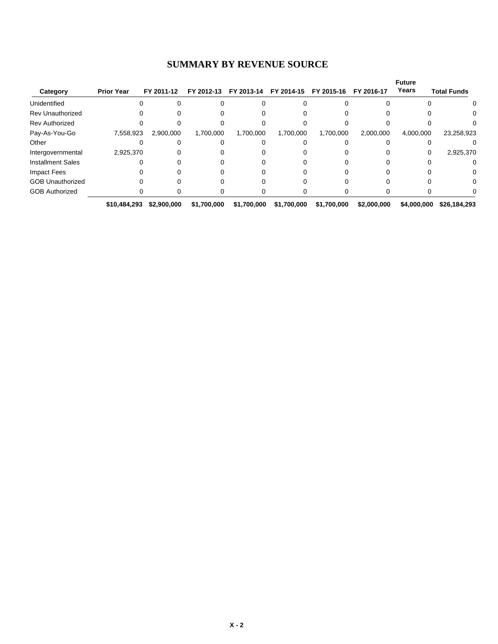#### **SUMMARY BY REVENUE SOURCE**

|                          |                   |             |             |             |             |             |             | <b>Future</b> |                    |
|--------------------------|-------------------|-------------|-------------|-------------|-------------|-------------|-------------|---------------|--------------------|
| Category                 | <b>Prior Year</b> | FY 2011-12  | FY 2012-13  | FY 2013-14  | FY 2014-15  | FY 2015-16  | FY 2016-17  | Years         | <b>Total Funds</b> |
| Unidentified             |                   |             |             |             |             |             |             |               | $\Omega$           |
| <b>Rev Unauthorized</b>  |                   |             |             |             |             |             |             |               |                    |
| <b>Rev Authorized</b>    |                   |             |             |             |             |             |             |               |                    |
| Pay-As-You-Go            | 7,558,923         | 2,900,000   | 1,700,000   | 1,700,000   | 1,700,000   | 1,700,000   | 2,000,000   | 4,000,000     | 23,258,923         |
| Other                    |                   |             |             |             |             |             |             |               |                    |
| Intergovernmental        | 2,925,370         |             |             |             |             |             |             | 0             | 2,925,370          |
| <b>Installment Sales</b> |                   |             |             |             |             |             |             |               | 0                  |
| Impact Fees              |                   |             |             |             |             |             |             |               | 0                  |
| <b>GOB Unauthorized</b>  |                   |             |             |             |             |             |             |               | 0                  |
| <b>GOB Authorized</b>    |                   |             |             |             |             |             |             |               |                    |
|                          | \$10,484,293      | \$2,900,000 | \$1,700,000 | \$1,700,000 | \$1,700,000 | \$1,700,000 | \$2,000,000 | \$4,000,000   | \$26,184,293       |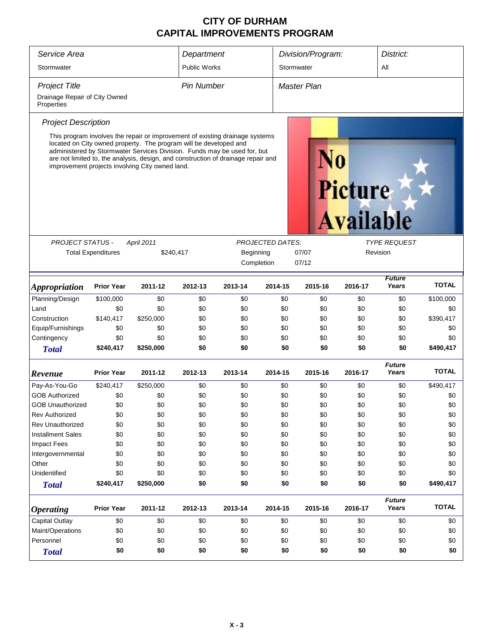| Service Area                                                                                                                                                                                                                                                                                                                                                                                         | Department                                                                             |           |                     | Division/Program:       |                         | District:      |         |                        |              |  |
|------------------------------------------------------------------------------------------------------------------------------------------------------------------------------------------------------------------------------------------------------------------------------------------------------------------------------------------------------------------------------------------------------|----------------------------------------------------------------------------------------|-----------|---------------------|-------------------------|-------------------------|----------------|---------|------------------------|--------------|--|
| Stormwater                                                                                                                                                                                                                                                                                                                                                                                           |                                                                                        |           | <b>Public Works</b> |                         |                         | Stormwater     |         | All                    |              |  |
| <b>Project Title</b>                                                                                                                                                                                                                                                                                                                                                                                 |                                                                                        |           | <b>Pin Number</b>   |                         |                         | Master Plan    |         |                        |              |  |
| Drainage Repair of City Owned<br>Properties                                                                                                                                                                                                                                                                                                                                                          |                                                                                        |           |                     |                         |                         |                |         |                        |              |  |
| <b>Project Description</b>                                                                                                                                                                                                                                                                                                                                                                           |                                                                                        |           |                     |                         |                         |                |         |                        |              |  |
| This program involves the repair or improvement of existing drainage systems<br>located on City owned property. The program will be developed and<br>administered by Stormwater Services Division. Funds may be used for, but<br>are not limited to, the analysis, design, and construction of drainage repair and<br>improvement projects involving City owned land.<br>Picture<br><b>Available</b> |                                                                                        |           |                     |                         |                         |                |         |                        |              |  |
|                                                                                                                                                                                                                                                                                                                                                                                                      |                                                                                        |           |                     |                         | <b>PROJECTED DATES:</b> |                |         | <b>TYPE REQUEST</b>    |              |  |
|                                                                                                                                                                                                                                                                                                                                                                                                      | <b>PROJECT STATUS -</b><br><b>April 2011</b><br><b>Total Expenditures</b><br>\$240,417 |           |                     | Beginning<br>Completion |                         | 07/07<br>07/12 |         | Revision               |              |  |
| <b>Appropriation</b>                                                                                                                                                                                                                                                                                                                                                                                 | <b>Prior Year</b>                                                                      | 2011-12   | 2012-13             | 2013-14                 | 2014-15                 | 2015-16        | 2016-17 | <b>Future</b><br>Years | <b>TOTAL</b> |  |
| Planning/Design                                                                                                                                                                                                                                                                                                                                                                                      | \$100,000                                                                              | \$0       | \$0                 | \$0                     | \$0                     | \$0            | \$0     | \$0                    | \$100,000    |  |
| Land                                                                                                                                                                                                                                                                                                                                                                                                 | \$0                                                                                    | \$0       | \$0                 | \$0                     | \$0                     | \$0            | \$0     | \$0                    | \$0          |  |
| Construction                                                                                                                                                                                                                                                                                                                                                                                         | \$140,417                                                                              | \$250,000 | \$0                 | \$0                     | \$0                     | \$0            | \$0     | \$0                    | \$390,417    |  |
| Equip/Furnishings                                                                                                                                                                                                                                                                                                                                                                                    | \$0                                                                                    | \$0       | \$0                 | \$0                     | \$0                     | \$0            | \$0     | \$0                    | \$0          |  |
| Contingency                                                                                                                                                                                                                                                                                                                                                                                          | \$0                                                                                    | \$0       | \$0                 | \$0                     | \$0                     | \$0            | \$0     | \$0                    | \$0          |  |
| <b>Total</b>                                                                                                                                                                                                                                                                                                                                                                                         | \$240,417                                                                              | \$250,000 | \$0                 | \$0                     | \$0                     | \$0            | \$0     | \$0                    | \$490,417    |  |
| Revenue                                                                                                                                                                                                                                                                                                                                                                                              | <b>Prior Year</b>                                                                      | 2011-12   | 2012-13             | 2013-14                 | 2014-15                 | 2015-16        | 2016-17 | <b>Future</b><br>Years | <b>TOTAL</b> |  |
| Pay-As-You-Go                                                                                                                                                                                                                                                                                                                                                                                        | \$240,417                                                                              | \$250,000 | \$0                 | \$0                     | \$0                     | \$0            | \$0     | \$0                    | \$490,417    |  |
| <b>GOB Authorized</b>                                                                                                                                                                                                                                                                                                                                                                                | \$0                                                                                    | \$0       | \$0                 | \$0                     | \$0                     | \$0            | \$0     | \$0                    | \$0          |  |
| <b>GOB Unauthorized</b>                                                                                                                                                                                                                                                                                                                                                                              | \$0                                                                                    | \$0       | \$0                 | \$0                     | \$0                     | \$0            | \$0     | \$0                    | \$0          |  |
| <b>Rev Authorized</b>                                                                                                                                                                                                                                                                                                                                                                                | \$0                                                                                    | \$0       | \$0                 | \$0                     | \$0                     | \$0            | \$0     | \$0                    | \$0          |  |
| <b>Rev Unauthorized</b>                                                                                                                                                                                                                                                                                                                                                                              | \$0                                                                                    | \$0       | \$0                 | \$0                     | \$0                     | \$0            | \$0     | \$0                    | \$0          |  |
| <b>Installment Sales</b>                                                                                                                                                                                                                                                                                                                                                                             | \$0                                                                                    | \$0       | \$0                 | \$0                     | \$0                     | \$0            | \$0     | \$0                    | \$0          |  |
| <b>Impact Fees</b>                                                                                                                                                                                                                                                                                                                                                                                   | \$0                                                                                    | \$0       | \$0                 | \$0                     | \$0                     | \$0            | \$0     | \$0                    | \$0          |  |
| Intergovernmental                                                                                                                                                                                                                                                                                                                                                                                    | \$0                                                                                    | \$0       | \$0                 | \$0                     | \$0                     | \$0            | \$0     | \$0                    | \$0          |  |
| Other                                                                                                                                                                                                                                                                                                                                                                                                | \$0                                                                                    | \$0       | \$0                 | \$0                     | \$0                     | \$0            | \$0     | \$0                    | \$0          |  |
| Unidentified                                                                                                                                                                                                                                                                                                                                                                                         | \$0                                                                                    | \$0       | \$0                 | \$0                     | \$0                     | \$0            | \$0     | \$0                    | \$0          |  |
| <b>Total</b>                                                                                                                                                                                                                                                                                                                                                                                         | \$240,417                                                                              | \$250,000 | \$0                 | \$0                     | \$0                     | \$0            | \$0     | \$0                    | \$490,417    |  |
| <b>Operating</b>                                                                                                                                                                                                                                                                                                                                                                                     | <b>Prior Year</b>                                                                      | 2011-12   | 2012-13             | 2013-14                 | 2014-15                 | 2015-16        | 2016-17 | <b>Future</b><br>Years | <b>TOTAL</b> |  |
| Capital Outlay                                                                                                                                                                                                                                                                                                                                                                                       | \$0                                                                                    | \$0       | \$0                 | \$0                     | \$0                     | \$0            | \$0     | \$0                    | \$0          |  |
| Maint/Operations                                                                                                                                                                                                                                                                                                                                                                                     | \$0                                                                                    | \$0       | \$0                 | \$0                     | \$0                     | \$0            | \$0     | \$0                    | \$0          |  |
| Personnel                                                                                                                                                                                                                                                                                                                                                                                            | \$0                                                                                    | \$0       | \$0                 | \$0                     | \$0                     | \$0            | \$0     | \$0                    | \$0          |  |
| <b>Total</b>                                                                                                                                                                                                                                                                                                                                                                                         | \$0                                                                                    | \$0       | \$0                 | \$0                     | \$0                     | \$0            | \$0     | \$0                    | \$0          |  |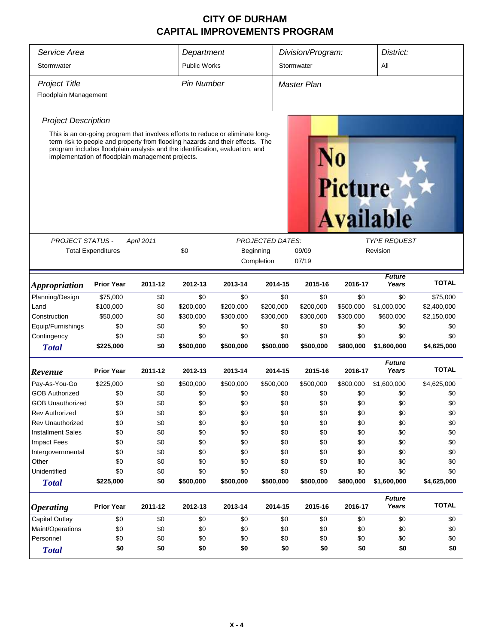| Service Area                | Department                                                                                                                                                                                                         |            |                   | Division/Program: |                         | District:          |                |                        |              |  |
|-----------------------------|--------------------------------------------------------------------------------------------------------------------------------------------------------------------------------------------------------------------|------------|-------------------|-------------------|-------------------------|--------------------|----------------|------------------------|--------------|--|
| Stormwater                  | <b>Public Works</b>                                                                                                                                                                                                |            |                   | Stormwater        |                         | All                |                |                        |              |  |
| <b>Project Title</b>        |                                                                                                                                                                                                                    |            | <b>Pin Number</b> |                   |                         | <b>Master Plan</b> |                |                        |              |  |
| Floodplain Management       |                                                                                                                                                                                                                    |            |                   |                   |                         |                    |                |                        |              |  |
| <b>Project Description</b>  |                                                                                                                                                                                                                    |            |                   |                   |                         |                    |                |                        |              |  |
|                             | This is an on-going program that involves efforts to reduce or eliminate long-                                                                                                                                     |            |                   |                   |                         |                    |                |                        |              |  |
|                             | term risk to people and property from flooding hazards and their effects. The<br>program includes floodplain analysis and the identification, evaluation, and<br>implementation of floodplain management projects. |            |                   |                   |                         |                    | <b>Picture</b> | <b>Available</b>       |              |  |
|                             |                                                                                                                                                                                                                    |            |                   |                   |                         |                    |                |                        |              |  |
| <b>PROJECT STATUS -</b>     |                                                                                                                                                                                                                    | April 2011 |                   |                   | <b>PROJECTED DATES:</b> |                    |                | <b>TYPE REQUEST</b>    |              |  |
|                             | <b>Total Expenditures</b>                                                                                                                                                                                          |            | \$0               |                   | Beginning<br>Completion | 09/09<br>07/19     |                | Revision               |              |  |
|                             |                                                                                                                                                                                                                    |            |                   |                   |                         |                    |                |                        |              |  |
| <i><b>Appropriation</b></i> | <b>Prior Year</b>                                                                                                                                                                                                  | 2011-12    | 2012-13           | 2013-14           | 2014-15                 | 2015-16            | 2016-17        | <b>Future</b><br>Years | <b>TOTAL</b> |  |
| Planning/Design             | \$75,000                                                                                                                                                                                                           | \$0        | \$0               | \$0               | \$0                     | \$0                | \$0            | \$0                    | \$75,000     |  |
| Land                        | \$100,000                                                                                                                                                                                                          | \$0        | \$200,000         | \$200,000         | \$200,000               | \$200,000          | \$500,000      | \$1,000,000            | \$2,400,000  |  |
| Construction                | \$50,000                                                                                                                                                                                                           | \$0        | \$300,000         | \$300,000         | \$300,000               | \$300,000          | \$300,000      | \$600,000              | \$2,150,000  |  |
| Equip/Furnishings           | \$0                                                                                                                                                                                                                | \$0        | \$0               | \$0               | \$0                     | \$0                | \$0            | \$0                    | \$0          |  |
| Contingency                 | \$0                                                                                                                                                                                                                | \$0        | \$0               | \$0               | \$0                     | \$0                | \$0            | \$0                    | \$0          |  |
| <b>Total</b>                | \$225,000                                                                                                                                                                                                          | \$0        | \$500,000         | \$500,000         | \$500,000               | \$500,000          | \$800,000      | \$1,600,000            | \$4,625,000  |  |
| Revenue                     | <b>Prior Year</b>                                                                                                                                                                                                  | 2011-12    | 2012-13           | 2013-14           | 2014-15                 | 2015-16            | 2016-17        | <b>Future</b><br>Years | <b>TOTAL</b> |  |
| Pay-As-You-Go               | \$225,000                                                                                                                                                                                                          | \$0        | \$500,000         | \$500,000         | \$500,000               | \$500,000          | \$800,000      | \$1,600,000            | \$4,625,000  |  |
| <b>GOB Authorized</b>       | \$0                                                                                                                                                                                                                | \$0        | \$0               | \$0               | \$0                     | \$0                | \$0            | \$0                    | \$0          |  |
| <b>GOB Unauthorized</b>     | \$0                                                                                                                                                                                                                | \$0        | \$0               | \$0               | \$0                     | \$0                | \$0            | \$0                    | \$0          |  |
| <b>Rev Authorized</b>       | \$0                                                                                                                                                                                                                | \$0        | \$0               | \$0               | \$0                     | \$0                | \$0            | \$0                    | \$0          |  |
| <b>Rev Unauthorized</b>     | \$0                                                                                                                                                                                                                | \$0        | \$0               | \$0               | \$0                     | \$0                | \$0            | \$0                    | \$0          |  |
| <b>Installment Sales</b>    | \$0                                                                                                                                                                                                                | \$0        | \$0               | \$0               | \$0                     | \$0                | \$0            | \$0                    | \$0          |  |
| Impact Fees                 | \$0                                                                                                                                                                                                                | \$0        | \$0               | \$0               | \$0                     | \$0                | \$0            | \$0                    | \$0          |  |
| Intergovernmental           | \$0                                                                                                                                                                                                                | \$0        | \$0               | \$0               | \$0                     | \$0                | \$0            | \$0                    | \$0          |  |
| Other                       | \$0                                                                                                                                                                                                                | \$0        | \$0               | \$0               | \$0                     | \$0                | \$0            | \$0                    | \$0          |  |
| Unidentified                | \$0                                                                                                                                                                                                                | \$0        | \$0               | \$0               | \$0                     | \$0                | \$0            | \$0                    | \$0          |  |
| <b>Total</b>                | \$225,000                                                                                                                                                                                                          | \$0        | \$500,000         | \$500,000         | \$500,000               | \$500,000          | \$800,000      | \$1,600,000            | \$4,625,000  |  |
| <b>Operating</b>            | <b>Prior Year</b>                                                                                                                                                                                                  | 2011-12    | 2012-13           | 2013-14           | 2014-15                 | 2015-16            | 2016-17        | <b>Future</b><br>Years | <b>TOTAL</b> |  |
| Capital Outlay              | \$0                                                                                                                                                                                                                | \$0        | \$0               | \$0               | \$0                     | \$0                | \$0            | \$0                    | \$0          |  |
| Maint/Operations            | \$0                                                                                                                                                                                                                | \$0        | \$0               | \$0               | \$0                     | \$0                | \$0            | \$0                    | \$0          |  |
| Personnel                   | \$0                                                                                                                                                                                                                | \$0        | \$0               | \$0               | \$0                     | \$0                | \$0            | \$0                    | \$0          |  |
| <b>Total</b>                | \$0                                                                                                                                                                                                                | \$0        | \$0               | \$0               | \$0                     | \$0                | \$0            | \$0                    | \$0          |  |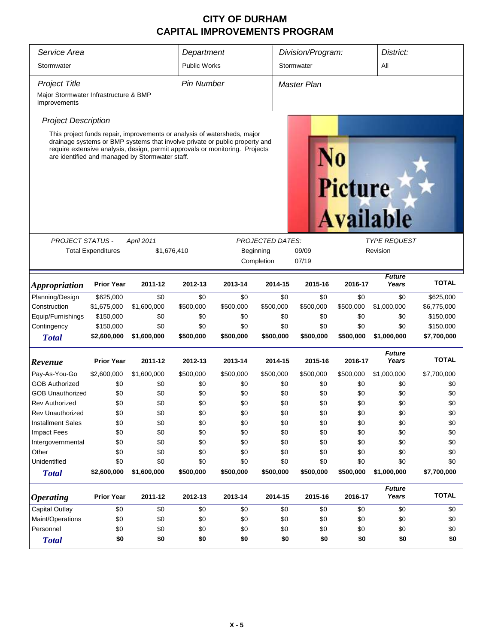| Service Area<br>Stormwater                            | Department<br><b>Public Works</b> |                                                                                                                                                                                                                                                                                            |                   | Division/Program:<br>Stormwater |                                      | District:<br>All |                |                                 |              |  |  |
|-------------------------------------------------------|-----------------------------------|--------------------------------------------------------------------------------------------------------------------------------------------------------------------------------------------------------------------------------------------------------------------------------------------|-------------------|---------------------------------|--------------------------------------|------------------|----------------|---------------------------------|--------------|--|--|
|                                                       |                                   |                                                                                                                                                                                                                                                                                            |                   |                                 |                                      |                  |                |                                 |              |  |  |
| <b>Project Title</b>                                  |                                   |                                                                                                                                                                                                                                                                                            | <b>Pin Number</b> |                                 |                                      | Master Plan      |                |                                 |              |  |  |
| Major Stormwater Infrastructure & BMP<br>Improvements |                                   |                                                                                                                                                                                                                                                                                            |                   |                                 |                                      |                  |                |                                 |              |  |  |
| <b>Project Description</b>                            |                                   |                                                                                                                                                                                                                                                                                            |                   |                                 |                                      |                  |                |                                 |              |  |  |
|                                                       |                                   | This project funds repair, improvements or analysis of watersheds, major<br>drainage systems or BMP systems that involve private or public property and<br>require extensive analysis, design, permit approvals or monitoring. Projects<br>are identified and managed by Stormwater staff. |                   |                                 |                                      |                  | <b>Picture</b> | <b>Available</b>                |              |  |  |
|                                                       |                                   |                                                                                                                                                                                                                                                                                            |                   |                                 |                                      |                  |                |                                 |              |  |  |
| <b>PROJECT STATUS -</b>                               | <b>Total Expenditures</b>         | April 2011<br>\$1,676,410                                                                                                                                                                                                                                                                  |                   |                                 | <b>PROJECTED DATES:</b><br>Beginning | 09/09            |                | <b>TYPE REQUEST</b><br>Revision |              |  |  |
|                                                       |                                   |                                                                                                                                                                                                                                                                                            |                   |                                 | Completion                           | 07/19            |                |                                 |              |  |  |
|                                                       |                                   |                                                                                                                                                                                                                                                                                            |                   |                                 |                                      |                  |                |                                 |              |  |  |
| <i><b>Appropriation</b></i>                           | <b>Prior Year</b>                 | 2011-12                                                                                                                                                                                                                                                                                    | 2012-13           | 2013-14                         | 2014-15                              | 2015-16          | 2016-17        | <b>Future</b><br>Years          | <b>TOTAL</b> |  |  |
| Planning/Design                                       | \$625,000                         | \$0                                                                                                                                                                                                                                                                                        | \$0               | \$0                             | \$0                                  | \$0              | \$0            | \$0                             | \$625,000    |  |  |
| Construction                                          | \$1,675,000                       | \$1,600,000                                                                                                                                                                                                                                                                                | \$500,000         | \$500,000                       | \$500,000                            | \$500,000        | \$500,000      | \$1,000,000                     | \$6,775,000  |  |  |
| Equip/Furnishings                                     | \$150,000                         | \$0                                                                                                                                                                                                                                                                                        | \$0               | \$0                             | \$0                                  | \$0              | \$0            | \$0                             | \$150,000    |  |  |
| Contingency                                           | \$150,000                         | \$0                                                                                                                                                                                                                                                                                        | \$0               | \$0                             | \$0                                  | \$0              | \$0            | \$0                             | \$150,000    |  |  |
| <b>Total</b>                                          | \$2,600,000                       | \$1,600,000                                                                                                                                                                                                                                                                                | \$500,000         | \$500,000                       | \$500,000                            | \$500,000        | \$500,000      | \$1,000,000                     | \$7,700,000  |  |  |
| Revenue                                               | <b>Prior Year</b>                 | 2011-12                                                                                                                                                                                                                                                                                    | 2012-13           | 2013-14                         | 2014-15                              | 2015-16          | 2016-17        | <b>Future</b><br>Years          | <b>TOTAL</b> |  |  |
| Pay-As-You-Go                                         | \$2,600,000                       | \$1,600,000                                                                                                                                                                                                                                                                                | \$500,000         | \$500,000                       | \$500,000                            | \$500,000        | \$500,000      | \$1,000,000                     | \$7,700,000  |  |  |
| <b>GOB Authorized</b>                                 | \$0                               | \$0                                                                                                                                                                                                                                                                                        | \$0               | \$0                             | \$0                                  | \$0              | \$0            | \$0                             | \$0          |  |  |
| <b>GOB Unauthorized</b>                               | \$0                               | \$0                                                                                                                                                                                                                                                                                        | \$0               | \$0                             | \$0                                  | \$0              | \$0            | \$0                             | \$0          |  |  |
| Rev Authorized                                        | \$0                               | \$0                                                                                                                                                                                                                                                                                        | \$0               | \$0                             | \$0                                  | \$0              | \$0            | \$0                             | \$0          |  |  |
| Rev Unauthorized                                      | \$0                               | \$0                                                                                                                                                                                                                                                                                        | \$0               | \$0                             | \$0                                  | \$0              | \$0            | \$0                             | \$0          |  |  |
| <b>Installment Sales</b>                              | \$0                               | \$0                                                                                                                                                                                                                                                                                        | \$0               | \$0                             | \$0                                  | \$0              | \$0            | \$0                             | \$0          |  |  |
| Impact Fees                                           | \$0                               | \$0                                                                                                                                                                                                                                                                                        | \$0               | \$0                             | \$0                                  | \$0              | \$0            | \$0                             | \$0          |  |  |
| Intergovernmental                                     | \$0                               | \$0                                                                                                                                                                                                                                                                                        | \$0               | \$0                             | \$0                                  | \$0              | \$0            | \$0                             | \$0          |  |  |
| Other                                                 | \$0                               | \$0                                                                                                                                                                                                                                                                                        | \$0               | \$0                             | \$0                                  | \$0              | \$0            | \$0                             | \$0          |  |  |
| Unidentified                                          | \$0                               | \$0                                                                                                                                                                                                                                                                                        | \$0               | \$0                             | \$0                                  | \$0              | \$0            | \$0                             | \$0          |  |  |
| <b>Total</b>                                          | \$2,600,000                       | \$1,600,000                                                                                                                                                                                                                                                                                | \$500,000         | \$500,000                       | \$500,000                            | \$500,000        | \$500,000      | \$1,000,000                     | \$7,700,000  |  |  |
| <b>Operating</b>                                      | <b>Prior Year</b>                 | 2011-12                                                                                                                                                                                                                                                                                    | 2012-13           | 2013-14                         | 2014-15                              | 2015-16          | 2016-17        | <b>Future</b><br>Years          | <b>TOTAL</b> |  |  |
| <b>Capital Outlay</b>                                 | \$0                               | \$0                                                                                                                                                                                                                                                                                        | \$0               | \$0                             | \$0                                  | \$0              | \$0            | \$0                             | \$0          |  |  |
| Maint/Operations                                      | \$0                               | \$0                                                                                                                                                                                                                                                                                        | \$0               | \$0                             | \$0                                  | \$0              | \$0            | \$0                             | \$0          |  |  |
| Personnel                                             | \$0                               | \$0                                                                                                                                                                                                                                                                                        | \$0               | \$0                             | \$0                                  | \$0              | \$0            | \$0                             | \$0          |  |  |
| <b>Total</b>                                          | \$0                               | \$0                                                                                                                                                                                                                                                                                        | \$0               | \$0                             | \$0                                  | \$0              | \$0            | \$0                             | \$0          |  |  |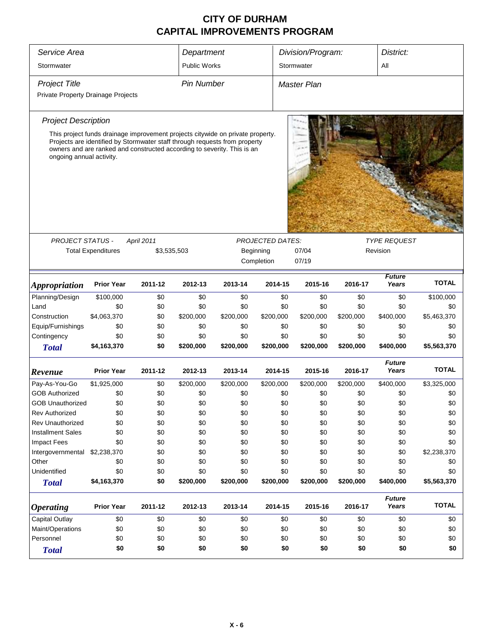| Service Area                       | Department                                                                                                                                            |             |                     | Division/Program: |                         | District:          |           |                        |              |  |
|------------------------------------|-------------------------------------------------------------------------------------------------------------------------------------------------------|-------------|---------------------|-------------------|-------------------------|--------------------|-----------|------------------------|--------------|--|
| Stormwater                         |                                                                                                                                                       |             | <b>Public Works</b> |                   |                         | Stormwater         |           |                        | All          |  |
| <b>Project Title</b>               |                                                                                                                                                       |             | <b>Pin Number</b>   |                   |                         | <b>Master Plan</b> |           |                        |              |  |
| Private Property Drainage Projects |                                                                                                                                                       |             |                     |                   |                         |                    |           |                        |              |  |
| <b>Project Description</b>         |                                                                                                                                                       |             |                     |                   |                         |                    |           |                        |              |  |
|                                    | This project funds drainage improvement projects citywide on private property.                                                                        |             |                     |                   |                         |                    |           |                        |              |  |
| ongoing annual activity.           | Projects are identified by Stormwater staff through requests from property<br>owners and are ranked and constructed according to severity. This is an |             |                     |                   |                         |                    |           |                        |              |  |
|                                    |                                                                                                                                                       |             |                     |                   |                         |                    |           |                        |              |  |
| <b>PROJECT STATUS -</b>            |                                                                                                                                                       | April 2011  |                     |                   | <b>PROJECTED DATES:</b> |                    |           | <b>TYPE REQUEST</b>    |              |  |
|                                    | <b>Total Expenditures</b>                                                                                                                             | \$3,535,503 |                     |                   | Beginning<br>Completion | 07/04<br>07/19     |           | Revision               |              |  |
|                                    |                                                                                                                                                       |             |                     |                   |                         |                    |           |                        |              |  |
| <i><b>Appropriation</b></i>        | <b>Prior Year</b>                                                                                                                                     | 2011-12     | 2012-13             | 2013-14           | 2014-15                 | 2015-16            | 2016-17   | <b>Future</b><br>Years | <b>TOTAL</b> |  |
| Planning/Design                    | \$100,000                                                                                                                                             | \$0         | \$0                 | \$0               | \$0                     | \$0                | \$0       | \$0                    | \$100,000    |  |
| Land                               | \$0                                                                                                                                                   | \$0         | \$0                 | \$0               | \$0                     | \$0                | \$0       | \$0                    | \$0          |  |
| Construction                       | \$4,063,370                                                                                                                                           | \$0         | \$200,000           | \$200,000         | \$200,000               | \$200,000          | \$200,000 | \$400,000              | \$5,463,370  |  |
| Equip/Furnishings                  | \$0                                                                                                                                                   | \$0         | \$0                 | \$0               | \$0                     | \$0                | \$0       | \$0                    | \$0          |  |
| Contingency                        | \$0                                                                                                                                                   | \$0         | \$0                 | \$0               | \$0                     | \$0                | \$0       | \$0                    | \$0          |  |
| <b>Total</b>                       | \$4,163,370                                                                                                                                           | \$0         | \$200,000           | \$200,000         | \$200,000               | \$200,000          | \$200,000 | \$400,000              | \$5,563,370  |  |
| Revenue                            | <b>Prior Year</b>                                                                                                                                     | 2011-12     | 2012-13             | 2013-14           | 2014-15                 | 2015-16            | 2016-17   | <b>Future</b><br>Years | <b>TOTAL</b> |  |
| Pay-As-You-Go                      | \$1,925,000                                                                                                                                           | \$0         | \$200,000           | \$200,000         | \$200,000               | \$200,000          | \$200,000 | \$400,000              | \$3,325,000  |  |
| <b>GOB Authorized</b>              | \$0                                                                                                                                                   | \$0         | \$0                 | \$0               | \$0                     | \$0                | \$0       | \$0                    | \$0          |  |
| <b>GOB Unauthorized</b>            | \$0                                                                                                                                                   | \$0         | \$0                 | \$0               | \$0                     | \$0                | \$0       | \$0                    | \$0          |  |
| <b>Rev Authorized</b>              | \$0                                                                                                                                                   | \$0         | \$0                 | \$0               | \$0                     | \$0                | \$0       | \$0                    | \$0          |  |
| Rev Unauthorized                   | \$0                                                                                                                                                   | \$0         | \$0                 | \$0               | \$0                     | \$0                | \$0       | \$0                    | \$0          |  |
| <b>Installment Sales</b>           | \$0                                                                                                                                                   | \$0         | \$0                 | \$0               | \$0                     | \$0                | \$0       | \$0                    | \$0          |  |
| <b>Impact Fees</b>                 | \$0                                                                                                                                                   | \$0         | \$0                 | \$0               | \$0                     | \$0                | \$0       | \$0                    | \$0          |  |
| Intergovernmental                  | \$2,238,370                                                                                                                                           | \$0         | \$0                 | \$0               | \$0                     | \$0                | \$0       | \$0                    | \$2,238,370  |  |
| Other                              | \$0                                                                                                                                                   | \$0         | \$0                 | \$0               | \$0                     | \$0                | \$0       | \$0                    | \$0          |  |
| Unidentified                       | \$0                                                                                                                                                   | \$0         | \$0                 | \$0               | \$0                     | \$0                | \$0       | \$0                    | \$0          |  |
| <b>Total</b>                       | \$4,163,370                                                                                                                                           | \$0         | \$200,000           | \$200,000         | \$200,000               | \$200,000          | \$200,000 | \$400,000              | \$5,563,370  |  |
| <b>Operating</b>                   | <b>Prior Year</b>                                                                                                                                     | 2011-12     | 2012-13             | 2013-14           | 2014-15                 | 2015-16            | 2016-17   | <b>Future</b><br>Years | <b>TOTAL</b> |  |
| Capital Outlay                     | \$0                                                                                                                                                   | \$0         | \$0                 | \$0               | \$0                     | \$0                | \$0       | \$0                    | \$0          |  |
| Maint/Operations                   | \$0                                                                                                                                                   | \$0         | \$0                 | \$0               | \$0                     | \$0                | \$0       | \$0                    | \$0          |  |
| Personnel                          | \$0                                                                                                                                                   | \$0         | \$0                 | \$0               | \$0                     | \$0                | \$0       | \$0                    | \$0          |  |
| <b>Total</b>                       | \$0                                                                                                                                                   | \$0         | \$0                 | \$0               | \$0                     | \$0                | \$0       | \$0                    | \$0          |  |